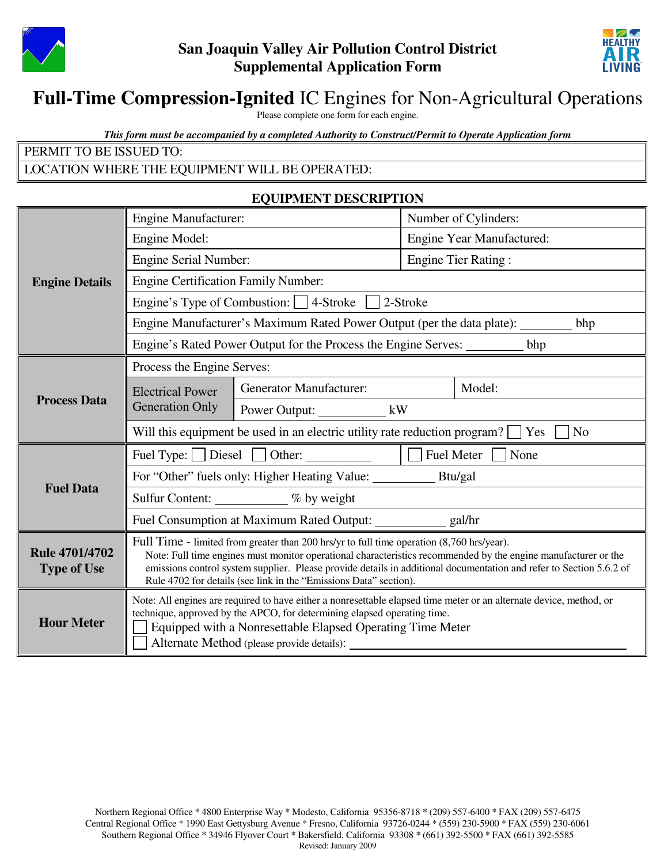

# **San Joaquin Valley Air Pollution Control District Supplemental Application Form**



# **Full-Time Compression-Ignited** IC Engines for Non-Agricultural Operations

Please complete one form for each engine.

*This form must be accompanied by a completed Authority to Construct/Permit to Operate Application form*

PERMIT TO BE ISSUED TO:

LOCATION WHERE THE EQUIPMENT WILL BE OPERATED:

#### **EQUIPMENT DESCRIPTION**

| <b>Engine Details</b>                       | <b>Engine Manufacturer:</b>                                                                                                                                                                                                                                                                                                                                                                             |                                                                               | Number of Cylinders:             |  |  |
|---------------------------------------------|---------------------------------------------------------------------------------------------------------------------------------------------------------------------------------------------------------------------------------------------------------------------------------------------------------------------------------------------------------------------------------------------------------|-------------------------------------------------------------------------------|----------------------------------|--|--|
|                                             | Engine Model:                                                                                                                                                                                                                                                                                                                                                                                           |                                                                               | <b>Engine Year Manufactured:</b> |  |  |
|                                             | <b>Engine Serial Number:</b>                                                                                                                                                                                                                                                                                                                                                                            |                                                                               | <b>Engine Tier Rating:</b>       |  |  |
|                                             | <b>Engine Certification Family Number:</b>                                                                                                                                                                                                                                                                                                                                                              |                                                                               |                                  |  |  |
|                                             |                                                                                                                                                                                                                                                                                                                                                                                                         | Engine's Type of Combustion: □ 4-Stroke □                                     | 2-Stroke                         |  |  |
|                                             | Engine Manufacturer's Maximum Rated Power Output (per the data plate): ________<br>bhp                                                                                                                                                                                                                                                                                                                  |                                                                               |                                  |  |  |
|                                             |                                                                                                                                                                                                                                                                                                                                                                                                         | Engine's Rated Power Output for the Process the Engine Serves: __________ bhp |                                  |  |  |
|                                             | Process the Engine Serves:                                                                                                                                                                                                                                                                                                                                                                              |                                                                               |                                  |  |  |
|                                             | <b>Electrical Power</b>                                                                                                                                                                                                                                                                                                                                                                                 | <b>Generator Manufacturer:</b>                                                | Model:                           |  |  |
| <b>Process Data</b>                         | <b>Generation Only</b>                                                                                                                                                                                                                                                                                                                                                                                  | Power Output: <u>______________</u> kW                                        |                                  |  |  |
|                                             | Will this equipment be used in an electric utility rate reduction program? $\Box$ Yes<br>N <sub>0</sub>                                                                                                                                                                                                                                                                                                 |                                                                               |                                  |  |  |
|                                             |                                                                                                                                                                                                                                                                                                                                                                                                         | Fuel Type: $\Box$ Diesel $\Box$ Other: $\Box$                                 | Fuel Meter<br>None               |  |  |
|                                             | For "Other" fuels only: Higher Heating Value: ____________ Btu/gal                                                                                                                                                                                                                                                                                                                                      |                                                                               |                                  |  |  |
| <b>Fuel Data</b>                            | Sulfur Content: ___________ % by weight                                                                                                                                                                                                                                                                                                                                                                 |                                                                               |                                  |  |  |
|                                             | Fuel Consumption at Maximum Rated Output: __________________ gal/hr                                                                                                                                                                                                                                                                                                                                     |                                                                               |                                  |  |  |
| <b>Rule 4701/4702</b><br><b>Type of Use</b> | Full Time - limited from greater than 200 hrs/yr to full time operation (8,760 hrs/year).<br>Note: Full time engines must monitor operational characteristics recommended by the engine manufacturer or the<br>emissions control system supplier. Please provide details in additional documentation and refer to Section 5.6.2 of<br>Rule 4702 for details (see link in the "Emissions Data" section). |                                                                               |                                  |  |  |
| <b>Hour Meter</b>                           | Note: All engines are required to have either a nonresettable elapsed time meter or an alternate device, method, or<br>technique, approved by the APCO, for determining elapsed operating time.<br>Equipped with a Nonresettable Elapsed Operating Time Meter                                                                                                                                           |                                                                               |                                  |  |  |